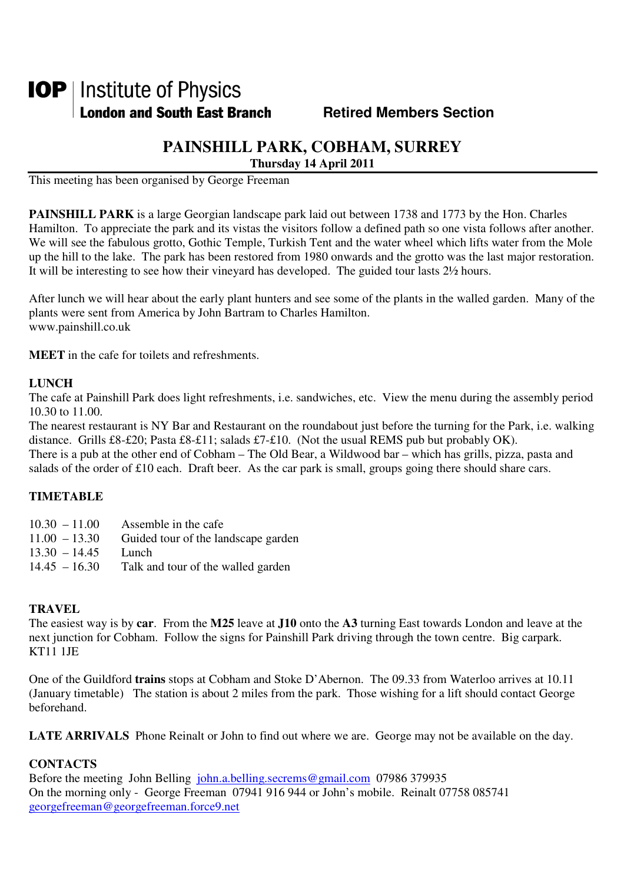# **IOP** | Institute of Physics **London and South East Branch Fig. 3. Retired Members Section**

## **PAINSHILL PARK, COBHAM, SURREY**

**Thursday 14 April 2011** 

This meeting has been organised by George Freeman

**PAINSHILL PARK** is a large Georgian landscape park laid out between 1738 and 1773 by the Hon. Charles Hamilton. To appreciate the park and its vistas the visitors follow a defined path so one vista follows after another. We will see the fabulous grotto, Gothic Temple, Turkish Tent and the water wheel which lifts water from the Mole up the hill to the lake. The park has been restored from 1980 onwards and the grotto was the last major restoration. It will be interesting to see how their vineyard has developed. The guided tour lasts 2½ hours.

After lunch we will hear about the early plant hunters and see some of the plants in the walled garden. Many of the plants were sent from America by John Bartram to Charles Hamilton. www.painshill.co.uk

**MEET** in the cafe for toilets and refreshments.

#### **LUNCH**

The cafe at Painshill Park does light refreshments, i.e. sandwiches, etc. View the menu during the assembly period 10.30 to 11.00.

The nearest restaurant is NY Bar and Restaurant on the roundabout just before the turning for the Park, i.e. walking distance. Grills £8-£20; Pasta £8-£11; salads £7-£10. (Not the usual REMS pub but probably OK).

There is a pub at the other end of Cobham – The Old Bear, a Wildwood bar – which has grills, pizza, pasta and salads of the order of £10 each. Draft beer. As the car park is small, groups going there should share cars.

### **TIMETABLE**

| $10.30 - 11.00$ | Assemble in the cafe                |
|-----------------|-------------------------------------|
| $11.00 - 13.30$ | Guided tour of the landscape garden |
| $13.30 - 14.45$ | Lunch                               |
| $14.45 - 16.30$ | Talk and tour of the walled garden  |

#### **TRAVEL**

The easiest way is by **car**. From the **M25** leave at **J10** onto the **A3** turning East towards London and leave at the next junction for Cobham. Follow the signs for Painshill Park driving through the town centre. Big carpark. KT11 1JE

One of the Guildford **trains** stops at Cobham and Stoke D'Abernon. The 09.33 from Waterloo arrives at 10.11 (January timetable) The station is about 2 miles from the park. Those wishing for a lift should contact George beforehand.

**LATE ARRIVALS** Phone Reinalt or John to find out where we are. George may not be available on the day.

#### **CONTACTS**

Before the meeting John Belling john.a.belling.secrems@gmail.com 07986 379935 On the morning only - George Freeman 07941 916 944 or John's mobile. Reinalt 07758 085741 georgefreeman@georgefreeman.force9.net